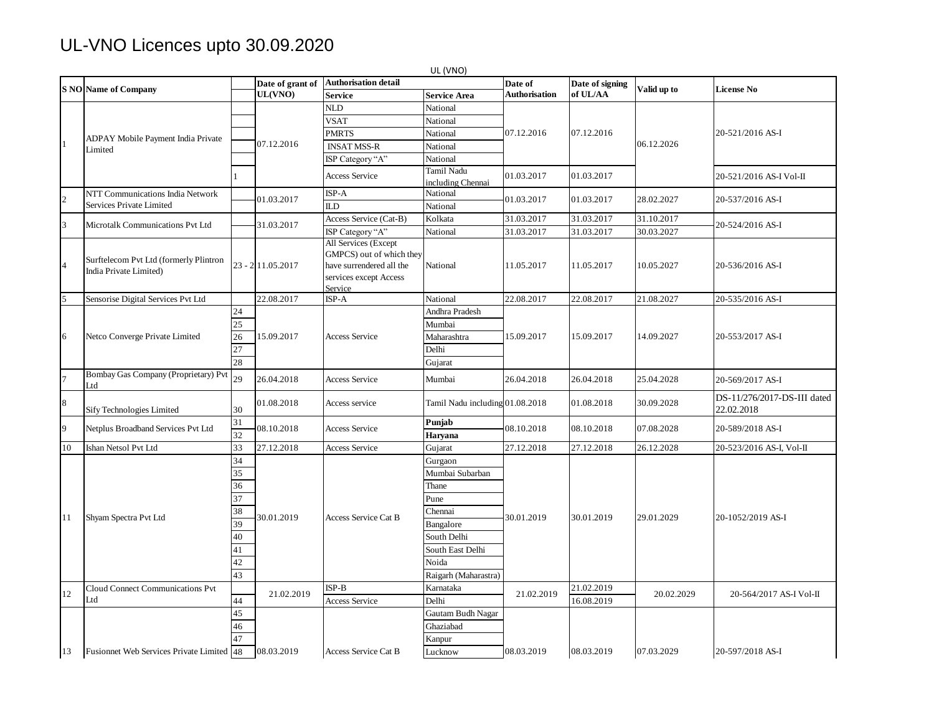## UL-VNO Licences upto 30.09.2020

|                |                                                                  |    | UL (VNO)          |                                                                                                                   |                                 |               |                 |             |                                           |
|----------------|------------------------------------------------------------------|----|-------------------|-------------------------------------------------------------------------------------------------------------------|---------------------------------|---------------|-----------------|-------------|-------------------------------------------|
|                | <b>S NO Name of Company</b>                                      |    | Date of grant of  | <b>Authorisation detail</b>                                                                                       |                                 | Date of       | Date of signing | Valid up to | <b>License No</b>                         |
|                |                                                                  |    | UL(VNO)           | <b>Service</b>                                                                                                    | <b>Service Area</b>             | Authorisation | of UL/AA        |             |                                           |
|                |                                                                  |    |                   | <b>NLD</b>                                                                                                        | National                        |               |                 |             |                                           |
|                |                                                                  |    |                   | <b>VSAT</b>                                                                                                       | National                        |               |                 |             |                                           |
|                | ADPAY Mobile Payment India Private                               |    |                   | <b>PMRTS</b>                                                                                                      | National                        | 07.12.2016    | 07.12.2016      |             | 20-521/2016 AS-I                          |
| 1              | Limited                                                          |    | 07.12.2016        | <b>INSAT MSS-R</b>                                                                                                | National                        |               |                 | 06.12.2026  |                                           |
|                |                                                                  |    |                   | ISP Category "A"                                                                                                  | National                        |               |                 |             |                                           |
|                |                                                                  |    |                   | <b>Access Service</b>                                                                                             | Tamil Nadu<br>including Chennai | 01.03.2017    | 01.03.2017      |             | 20-521/2016 AS-I Vol-II                   |
| $\overline{2}$ | NTT Communications India Network                                 |    | 01.03.2017        | ISP-A                                                                                                             | National                        | 01.03.2017    | 01.03.2017      | 28.02.2027  | 20-537/2016 AS-I                          |
|                | Services Private Limited                                         |    |                   | ILD.                                                                                                              | National                        |               |                 |             |                                           |
| 3              | Microtalk Communications Pvt Ltd                                 |    | 31.03.2017        | Access Service (Cat-B)                                                                                            | Kolkata                         | 31.03.2017    | 31.03.2017      | 31.10.2017  | 20-524/2016 AS-I                          |
|                |                                                                  |    |                   | ISP Category "A"                                                                                                  | National                        | 31.03.2017    | 31.03.2017      | 30.03.2027  |                                           |
| $\overline{4}$ | Surftelecom Pvt Ltd (formerly Plintron<br>India Private Limited) |    | 23 - 2 11.05.2017 | All Services (Except<br>GMPCS) out of which they<br>have surrendered all the<br>services except Access<br>Service | National                        | 11.05.2017    | 11.05.2017      | 10.05.2027  | 20-536/2016 AS-I                          |
| 5              | Sensorise Digital Services Pvt Ltd                               |    | 22.08.2017        | ISP-A                                                                                                             | National                        | 22.08.2017    | 22.08.2017      | 21.08.2027  | 20-535/2016 AS-I                          |
|                |                                                                  | 24 |                   |                                                                                                                   | Andhra Pradesh                  |               |                 |             |                                           |
|                |                                                                  | 25 |                   |                                                                                                                   | Mumbai                          |               |                 |             |                                           |
| 6              | Netco Converge Private Limited                                   | 26 | 15.09.2017        | <b>Access Service</b>                                                                                             | Maharashtra                     | 15.09.2017    | 15.09.2017      | 14.09.2027  | 20-553/2017 AS-I                          |
|                |                                                                  | 27 |                   |                                                                                                                   | Delhi                           |               |                 |             |                                           |
|                |                                                                  | 28 |                   |                                                                                                                   | Gujarat                         |               |                 |             |                                           |
| $\overline{7}$ | Bombay Gas Company (Proprietary) Pvt<br>Ltd                      | 29 | 26.04.2018        | <b>Access Service</b>                                                                                             | Mumbai                          | 26.04.2018    | 26.04.2018      | 25.04.2028  | 20-569/2017 AS-I                          |
| 8              | Sify Technologies Limited                                        | 30 | 01.08.2018        | Access service                                                                                                    | Tamil Nadu including 01.08.2018 |               | 01.08.2018      | 30.09.2028  | DS-11/276/2017-DS-III dated<br>22.02.2018 |
| 9              |                                                                  | 31 | 08.10.2018        | <b>Access Service</b>                                                                                             | Punjab                          | 08.10.2018    |                 | 07.08.2028  | 20-589/2018 AS-I                          |
|                | Netplus Broadband Services Pvt Ltd                               | 32 |                   |                                                                                                                   | Haryana                         |               | 08.10.2018      |             |                                           |
| 10             | Ishan Netsol Pvt Ltd                                             | 33 | 27.12.2018        | Access Service                                                                                                    | Gujarat                         | 27.12.2018    | 27.12.2018      | 26.12.2028  | 20-523/2016 AS-I, Vol-II                  |
|                |                                                                  | 34 |                   |                                                                                                                   | Gurgaon                         |               |                 |             |                                           |
|                |                                                                  | 35 |                   |                                                                                                                   | Mumbai Subarban                 |               |                 |             |                                           |
|                |                                                                  | 36 |                   |                                                                                                                   | Thane                           |               |                 |             |                                           |
|                |                                                                  | 37 |                   |                                                                                                                   | Pune                            |               |                 |             |                                           |
|                |                                                                  | 38 |                   |                                                                                                                   | Chennai                         |               |                 |             |                                           |
| 11             | Shyam Spectra Pvt Ltd                                            | 39 | 30.01.2019        | <b>Access Service Cat B</b>                                                                                       | Bangalore                       | 30.01.2019    | 30.01.2019      | 29.01.2029  | 20-1052/2019 AS-I                         |
|                |                                                                  | 40 |                   |                                                                                                                   | South Delhi                     |               |                 |             |                                           |
|                |                                                                  | 41 |                   |                                                                                                                   | South East Delhi                |               |                 |             |                                           |
|                |                                                                  | 42 |                   |                                                                                                                   | Noida                           |               |                 |             |                                           |
|                |                                                                  | 43 |                   |                                                                                                                   | Raigarh (Maharastra)            |               |                 |             |                                           |
|                | Cloud Connect Communications Pvt                                 |    |                   | ISP-B                                                                                                             | Karnataka                       |               | 21.02.2019      |             |                                           |
| 12             | Ltd                                                              | 44 | 21.02.2019        | <b>Access Service</b>                                                                                             | Delhi                           | 21.02.2019    | 16.08.2019      | 20.02.2029  | 20-564/2017 AS-I Vol-II                   |
|                |                                                                  | 45 |                   |                                                                                                                   | Gautam Budh Nagar               |               |                 |             |                                           |
|                |                                                                  | 46 |                   |                                                                                                                   | Ghaziabad                       |               |                 |             |                                           |
|                |                                                                  | 47 |                   |                                                                                                                   |                                 |               |                 |             |                                           |
| 13             | Fusionnet Web Services Private Limited 48                        |    | 08.03.2019        | Access Service Cat B                                                                                              | Kanpur<br>Lucknow               | 08.03.2019    | 08.03.2019      | 07.03.2029  | 20-597/2018 AS-I                          |
|                |                                                                  |    |                   |                                                                                                                   |                                 |               |                 |             |                                           |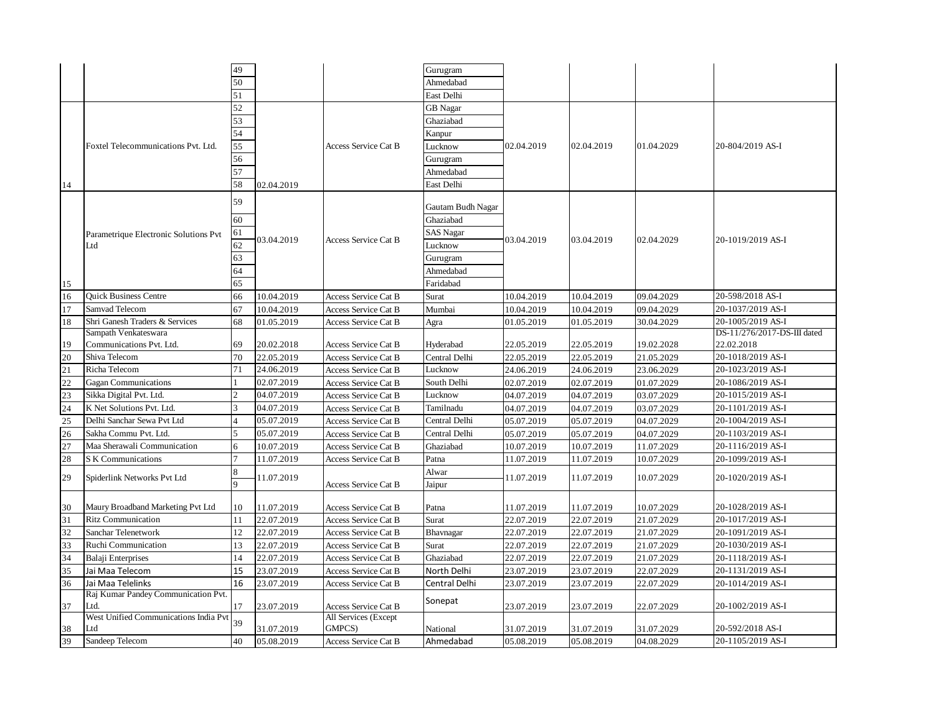|    |                                              | 49             |            |                                | Gurugram          |            |                          |            |                             |
|----|----------------------------------------------|----------------|------------|--------------------------------|-------------------|------------|--------------------------|------------|-----------------------------|
|    |                                              | 50             |            |                                | Ahmedabad         |            |                          |            |                             |
|    |                                              | 51             |            |                                | East Delhi        |            |                          |            |                             |
|    |                                              | 52             |            |                                | <b>GB</b> Nagar   |            |                          |            |                             |
|    |                                              | 53             |            |                                | Ghaziabad         |            |                          |            |                             |
|    |                                              | 54             |            |                                | Kanpur            |            |                          |            |                             |
|    | Foxtel Telecommunications Pvt. Ltd.          | 55             |            | <b>Access Service Cat B</b>    |                   | 02.04.2019 | 02.04.2019               | 01.04.2029 | 20-804/2019 AS-I            |
|    |                                              | 56             |            |                                | Lucknow           |            |                          |            |                             |
|    |                                              | 57             |            |                                | Gurugram          |            |                          |            |                             |
|    |                                              |                |            |                                | Ahmedabad         |            |                          |            |                             |
| 14 |                                              | 58             | 02.04.2019 |                                | East Delhi        |            |                          |            |                             |
|    |                                              | 59             |            |                                | Gautam Budh Nagar |            |                          |            |                             |
|    |                                              | 60             |            |                                | Ghaziabad         |            |                          |            |                             |
|    | Parametrique Electronic Solutions Pvt        | 61             |            |                                | <b>SAS</b> Nagar  |            |                          |            |                             |
|    | Ltd                                          | 62             | 03.04.2019 | Access Service Cat B           | Lucknow           | 03.04.2019 | 03.04.2019               | 02.04.2029 | 20-1019/2019 AS-I           |
|    |                                              | 63             |            |                                | Gurugram          |            |                          |            |                             |
|    |                                              | 64             |            |                                | Ahmedabad         |            |                          |            |                             |
| 15 |                                              | 65             |            |                                | Faridabad         |            |                          |            |                             |
| 16 | <b>Quick Business Centre</b>                 | 66             | 10.04.2019 | <b>Access Service Cat B</b>    | Surat             | 10.04.2019 | 10.04.2019               | 09.04.2029 | 20-598/2018 AS-I            |
| 17 | Samvad Telecom                               | 67             | 10.04.2019 | <b>Access Service Cat B</b>    | Mumbai            | 10.04.2019 | 10.04.2019               | 09.04.2029 | 20-1037/2019 AS-I           |
| 18 | Shri Ganesh Traders & Services               | 68             | 01.05.2019 | <b>Access Service Cat B</b>    | Agra              | 01.05.2019 | 01.05.2019               | 30.04.2029 | 20-1005/2019 AS-I           |
|    | Sampath Venkateswara                         |                |            |                                |                   |            |                          |            | DS-11/276/2017-DS-III dated |
| 19 | Communications Pvt. Ltd.                     | 69             | 20.02.2018 | Access Service Cat B           | Hyderabad         | 22.05.2019 | 22.05.2019               | 19.02.2028 | 22.02.2018                  |
| 20 | Shiva Telecom                                | 70             | 22.05.2019 | Access Service Cat B           | Central Delhi     | 22.05.2019 | 22.05.2019               | 21.05.2029 | 20-1018/2019 AS-I           |
| 21 | Richa Telecom                                | 71             | 24.06.2019 | <b>Access Service Cat B</b>    | Lucknow           | 24.06.2019 | 24.06.2019               | 23.06.2029 | 20-1023/2019 AS-I           |
| 22 | <b>Gagan Communications</b>                  |                | 02.07.2019 | <b>Access Service Cat B</b>    | South Delhi       | 02.07.2019 | 02.07.2019               | 01.07.2029 | 20-1086/2019 AS-I           |
| 23 | Sikka Digital Pvt. Ltd.                      | $\mathfrak{D}$ | 04.07.2019 | <b>Access Service Cat B</b>    | Lucknow           | 04.07.2019 | 04.07.2019               | 03.07.2029 | 20-1015/2019 AS-I           |
| 24 | K Net Solutions Pvt. Ltd.                    | 3              | 04.07.2019 | Access Service Cat B           | Tamilnadu         | 04.07.2019 | 04.07.2019               | 03.07.2029 | 20-1101/2019 AS-I           |
| 25 | Delhi Sanchar Sewa Pvt Ltd                   |                | 05.07.2019 | <b>Access Service Cat B</b>    | Central Delhi     | 05.07.2019 | 05.07.2019               | 04.07.2029 | 20-1004/2019 AS-I           |
| 26 | Sakha Commu Pvt. Ltd.                        |                | 05.07.2019 | <b>Access Service Cat B</b>    | Central Delhi     | 05.07.2019 | 05.07.2019               | 04.07.2029 | 20-1103/2019 AS-I           |
| 27 | Maa Sherawali Communication                  | 6              | 10.07.2019 | <b>Access Service Cat B</b>    | Ghaziabad         | 10.07.2019 | 10.07.2019               | 11.07.2029 | 20-1116/2019 AS-I           |
| 28 | <b>S K Communications</b>                    |                | 11.07.2019 | <b>Access Service Cat B</b>    | Patna             | 11.07.2019 | 11.07.2019               | 10.07.2029 | 20-1099/2019 AS-I           |
|    |                                              |                |            |                                | Alwar             |            |                          |            |                             |
| 29 | Spiderlink Networks Pvt Ltd                  | 9              | 11.07.2019 | <b>Access Service Cat B</b>    | Jaipur            | 11.07.2019 | 11.07.2019               | 10.07.2029 | 20-1020/2019 AS-I           |
|    |                                              |                |            |                                |                   |            |                          |            |                             |
| 30 | Maury Broadband Marketing Pvt Ltd            | 10             | 11.07.2019 | <b>Access Service Cat B</b>    | Patna             | 11.07.2019 | 11.07.2019               | 10.07.2029 | 20-1028/2019 AS-I           |
| 31 | <b>Ritz Communication</b>                    | 11             | 22.07.2019 | <b>Access Service Cat B</b>    | Surat             | 22.07.2019 | 22.07.2019               | 21.07.2029 | 20-1017/2019 AS-I           |
| 32 | Sanchar Telenetwork                          | 12             | 22.07.2019 | Access Service Cat B           | Bhavnagar         | 22.07.2019 | 22.07.2019               | 21.07.2029 | 20-1091/2019 AS-I           |
| 33 | Ruchi Communication                          | 13             | 22.07.2019 | <b>Access Service Cat B</b>    | Surat             | 22.07.2019 | 22.07.2019               | 21.07.2029 | 20-1030/2019 AS-I           |
| 34 | Balaji Enterprises                           | 14             | 22.07.2019 | <b>Access Service Cat B</b>    | Ghaziabad         | 22.07.2019 | 22.07.2019               | 21.07.2029 | 20-1118/2019 AS-I           |
| 35 | Jai Maa Telecom                              | 15             | 23.07.2019 | <b>Access Service Cat B</b>    | North Delhi       | 23.07.2019 | 23.07.2019               | 22.07.2029 | 20-1131/2019 AS-I           |
| 36 | Jai Maa Telelinks                            | 16             | 23.07.2019 | <b>Access Service Cat B</b>    | Central Delhi     | 23.07.2019 | 23.07.2019               | 22.07.2029 | 20-1014/2019 AS-I           |
|    | Raj Kumar Pandey Communication Pvt.          |                |            |                                | Sonepat           |            |                          |            |                             |
| 37 | Ltd.                                         | 17             | 23.07.2019 | Access Service Cat B           |                   | 23.07.2019 | 23.07.2019               | 22.07.2029 | 20-1002/2019 AS-I           |
| 38 | West Unified Communications India Pvt<br>Ltd | 39             | 31.07.2019 | All Services (Except<br>GMPCS) | National          | 31.07.2019 |                          | 31.07.2029 | 20-592/2018 AS-I            |
| 39 | Sandeep Telecom                              | 40             | 05.08.2019 | <b>Access Service Cat B</b>    | Ahmedabad         | 05.08.2019 | 31.07.2019<br>05.08.2019 | 04.08.2029 | 20-1105/2019 AS-I           |
|    |                                              |                |            |                                |                   |            |                          |            |                             |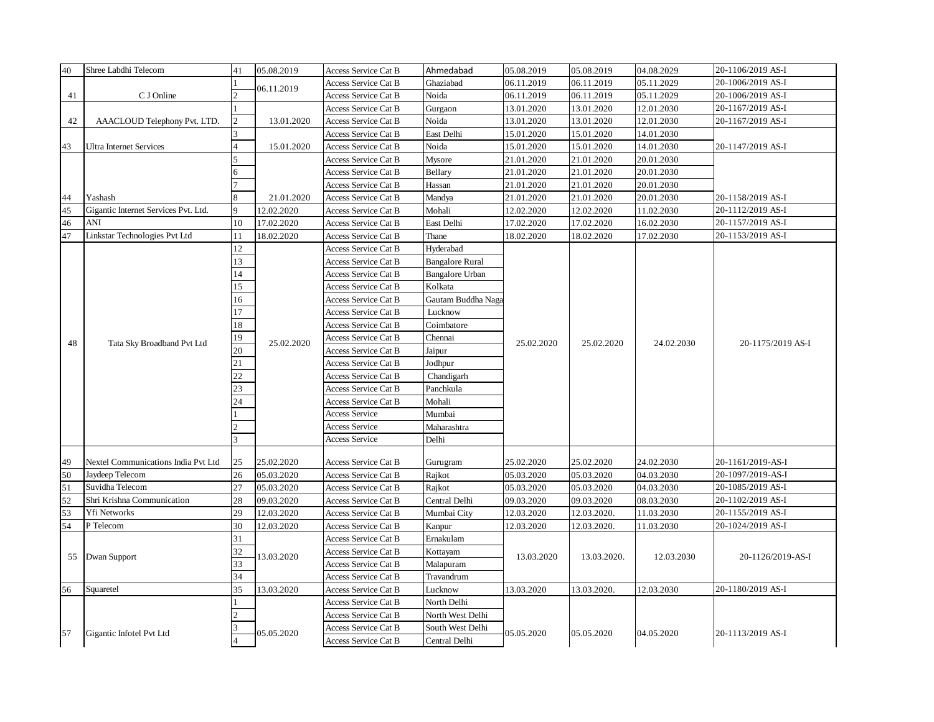| 40 | Shree Labdhi Telecom                                                                                                                                                                        | 41                      | 05.08.2019 | <b>Access Service Cat B</b> | Ahmedabad              | 05.08.2019 | 05.08.2019  | 04.08.2029 | 20-1106/2019 AS-I |
|----|---------------------------------------------------------------------------------------------------------------------------------------------------------------------------------------------|-------------------------|------------|-----------------------------|------------------------|------------|-------------|------------|-------------------|
|    |                                                                                                                                                                                             |                         | 06.11.2019 | <b>Access Service Cat B</b> | Ghaziabad              | 06.11.2019 | 06.11.2019  | 05.11.2029 | 20-1006/2019 AS-I |
| 41 | C J Online                                                                                                                                                                                  |                         |            | <b>Access Service Cat B</b> | Noida                  | 06.11.2019 | 06.11.2019  | 05.11.2029 | 20-1006/2019 AS-I |
|    |                                                                                                                                                                                             |                         |            | <b>Access Service Cat B</b> | Gurgaon                | 13.01.2020 | 13.01.2020  | 12.01.2030 | 20-1167/2019 AS-I |
| 42 | AAACLOUD Telephony Pvt. LTD.                                                                                                                                                                | $\overline{c}$          | 13.01.2020 | <b>Access Service Cat B</b> | Noida                  | 13.01.2020 | 13.01.2020  | 12.01.2030 | 20-1167/2019 AS-I |
|    |                                                                                                                                                                                             |                         |            | <b>Access Service Cat B</b> | East Delhi             | 15.01.2020 | 15.01.2020  | 14.01.2030 |                   |
| 43 | <b>Ultra Internet Services</b>                                                                                                                                                              |                         | 15.01.2020 | <b>Access Service Cat B</b> | Noida                  | 15.01.2020 | 15.01.2020  | 14.01.2030 | 20-1147/2019 AS-I |
|    |                                                                                                                                                                                             |                         |            | <b>Access Service Cat B</b> | Mysore                 | 21.01.2020 | 21.01.2020  | 20.01.2030 |                   |
|    |                                                                                                                                                                                             |                         |            | <b>Access Service Cat B</b> | Bellary                | 21.01.2020 | 21.01.2020  | 20.01.2030 |                   |
|    |                                                                                                                                                                                             |                         |            | Access Service Cat B        | Hassan                 | 21.01.2020 | 21.01.2020  | 20.01.2030 |                   |
| 44 | Yashash                                                                                                                                                                                     | 8                       | 21.01.2020 | <b>Access Service Cat B</b> | Mandya                 | 21.01.2020 | 21.01.2020  | 20.01.2030 | 20-1158/2019 AS-I |
| 45 | Gigantic Internet Services Pvt. Ltd.                                                                                                                                                        | 9                       | 12.02.2020 | Access Service Cat B        | Mohali                 | 12.02.2020 | 12.02.2020  | 11.02.2030 | 20-1112/2019 AS-I |
| 46 | ANI                                                                                                                                                                                         | 10                      | 17.02.2020 | <b>Access Service Cat B</b> | East Delhi             | 17.02.2020 | 17.02.2020  | 16.02.2030 | 20-1157/2019 AS-I |
| 47 | Linkstar Technologies Pvt Ltd                                                                                                                                                               | 11                      | 18.02.2020 | <b>Access Service Cat B</b> | Thane                  | 18.02.2020 | 18.02.2020  | 17.02.2030 | 20-1153/2019 AS-I |
|    |                                                                                                                                                                                             | 12                      |            | <b>Access Service Cat B</b> | Hyderabad              |            |             |            |                   |
|    |                                                                                                                                                                                             | 13                      |            | <b>Access Service Cat B</b> | <b>Bangalore Rural</b> |            |             |            |                   |
|    |                                                                                                                                                                                             | 14                      |            | <b>Access Service Cat B</b> | <b>Bangalore Urban</b> |            |             |            |                   |
|    | 48<br>Tata Sky Broadband Pvt Ltd<br>Nextel Communications India Pvt Ltd<br>Jaydeep Telecom<br>Suvidha Telecom<br>Shri Krishna Communication<br>Yfi Networks<br>P Telecom<br>55 Dwan Support | 15                      |            | <b>Access Service Cat B</b> | Kolkata                |            |             |            |                   |
|    |                                                                                                                                                                                             | 16                      |            | <b>Access Service Cat B</b> | Gautam Buddha Naga     |            |             |            |                   |
|    |                                                                                                                                                                                             | 17                      |            | <b>Access Service Cat B</b> | Lucknow                |            |             |            |                   |
|    |                                                                                                                                                                                             | 18                      |            | Access Service Cat B        | Coimbatore             |            |             |            |                   |
|    |                                                                                                                                                                                             | 19                      |            | <b>Access Service Cat B</b> | Chennai                |            |             |            |                   |
|    |                                                                                                                                                                                             | 20                      | 25.02.2020 | <b>Access Service Cat B</b> | Jaipur                 | 25.02.2020 | 25.02.2020  | 24.02.2030 | 20-1175/2019 AS-I |
|    |                                                                                                                                                                                             | 21                      |            | <b>Access Service Cat B</b> | Jodhpur                |            |             |            |                   |
|    |                                                                                                                                                                                             | 22                      |            | <b>Access Service Cat B</b> | Chandigarh             |            |             |            |                   |
|    |                                                                                                                                                                                             | 23                      |            | <b>Access Service Cat B</b> | Panchkula              |            |             |            |                   |
|    |                                                                                                                                                                                             | 24                      |            | <b>Access Service Cat B</b> | Mohali                 |            |             |            |                   |
|    |                                                                                                                                                                                             |                         |            | <b>Access Service</b>       | Mumbai                 |            |             |            |                   |
|    |                                                                                                                                                                                             |                         |            | <b>Access Service</b>       | Maharashtra            |            |             |            |                   |
|    |                                                                                                                                                                                             | $\overline{\mathbf{3}}$ |            | <b>Access Service</b>       | Delhi                  |            |             |            |                   |
|    |                                                                                                                                                                                             |                         |            |                             |                        |            |             |            |                   |
| 49 |                                                                                                                                                                                             | 25                      | 25.02.2020 | <b>Access Service Cat B</b> | Gurugram               | 25.02.2020 | 25.02.2020  | 24.02.2030 | 20-1161/2019-AS-I |
| 50 |                                                                                                                                                                                             | 26                      | 05.03.2020 | <b>Access Service Cat B</b> | Rajkot                 | 05.03.2020 | 05.03.2020  | 04.03.2030 | 20-1097/2019-AS-I |
| 51 |                                                                                                                                                                                             | 27                      | 05.03.2020 | <b>Access Service Cat B</b> | Rajkot                 | 05.03.2020 | 05.03.2020  | 04.03.2030 | 20-1085/2019 AS-I |
| 52 |                                                                                                                                                                                             | 28                      | 09.03.2020 | <b>Access Service Cat B</b> | Central Delhi          | 09.03.2020 | 09.03.2020  | 08.03.2030 | 20-1102/2019 AS-I |
| 53 |                                                                                                                                                                                             | 29                      | 12.03.2020 | <b>Access Service Cat B</b> | Mumbai City            | 12.03.2020 | 12.03.2020. | 11.03.2030 | 20-1155/2019 AS-I |
| 54 |                                                                                                                                                                                             | 30                      | 12.03.2020 | <b>Access Service Cat B</b> | Kanpur                 | 12.03.2020 | 12.03.2020. | 11.03.2030 | 20-1024/2019 AS-I |
|    |                                                                                                                                                                                             | 31                      |            | <b>Access Service Cat B</b> | Ernakulam              |            |             |            |                   |
|    |                                                                                                                                                                                             | 32                      | 13.03.2020 | <b>Access Service Cat B</b> | Kottayam               | 13.03.2020 | 13.03.2020. | 12.03.2030 | 20-1126/2019-AS-I |
|    |                                                                                                                                                                                             | 33                      |            | Access Service Cat B        | Malapuram              |            |             |            |                   |
|    |                                                                                                                                                                                             | 34                      |            | <b>Access Service Cat B</b> | Travandrum             |            |             |            |                   |
| 56 | Squaretel                                                                                                                                                                                   | 35                      | 13.03.2020 | <b>Access Service Cat B</b> | Lucknow                | 13.03.2020 | 13.03.2020. | 12.03.2030 | 20-1180/2019 AS-I |
|    |                                                                                                                                                                                             |                         |            | <b>Access Service Cat B</b> | North Delhi            |            |             |            |                   |
|    |                                                                                                                                                                                             |                         |            | <b>Access Service Cat B</b> | North West Delhi       |            |             |            |                   |
| 57 |                                                                                                                                                                                             |                         |            | <b>Access Service Cat B</b> | South West Delhi       |            |             |            |                   |
|    | Gigantic Infotel Pvt Ltd                                                                                                                                                                    |                         | 05.05.2020 | Access Service Cat B        | Central Delhi          | 05.05.2020 | 05.05.2020  | 04.05.2020 | 20-1113/2019 AS-I |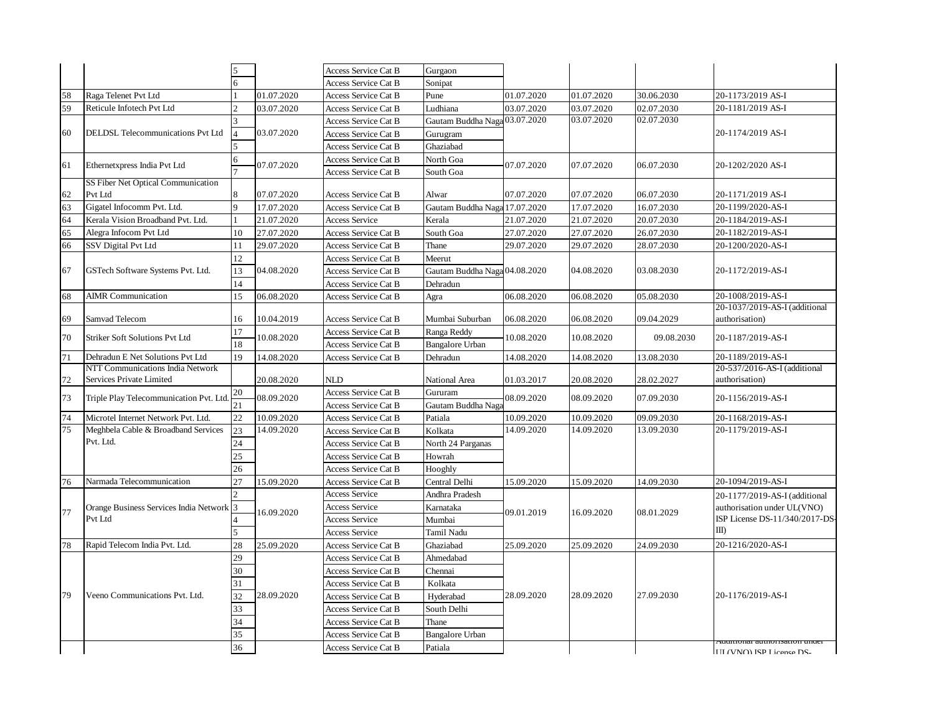|    |                                                              |    |                                                                                                                                                                                                                                                                                                                                                                                           | <b>Access Service Cat B</b>                                                                                                                                                                                                                                                                                                                                                                                                                                                                                                                                                                                                                                                                                                                                                                                                                                                                                                                                                                                                                                                                                                                                                                                                                                                                                                                                                                                                                                                                                                                                                                                                                                                                                                                                                                                                                                                                                                                                                                                                                                                                                                                                                                                                                                                                                                                                                                                                                                                                                                  | Sonipat                |            |            |            |                                                               |
|----|--------------------------------------------------------------|----|-------------------------------------------------------------------------------------------------------------------------------------------------------------------------------------------------------------------------------------------------------------------------------------------------------------------------------------------------------------------------------------------|------------------------------------------------------------------------------------------------------------------------------------------------------------------------------------------------------------------------------------------------------------------------------------------------------------------------------------------------------------------------------------------------------------------------------------------------------------------------------------------------------------------------------------------------------------------------------------------------------------------------------------------------------------------------------------------------------------------------------------------------------------------------------------------------------------------------------------------------------------------------------------------------------------------------------------------------------------------------------------------------------------------------------------------------------------------------------------------------------------------------------------------------------------------------------------------------------------------------------------------------------------------------------------------------------------------------------------------------------------------------------------------------------------------------------------------------------------------------------------------------------------------------------------------------------------------------------------------------------------------------------------------------------------------------------------------------------------------------------------------------------------------------------------------------------------------------------------------------------------------------------------------------------------------------------------------------------------------------------------------------------------------------------------------------------------------------------------------------------------------------------------------------------------------------------------------------------------------------------------------------------------------------------------------------------------------------------------------------------------------------------------------------------------------------------------------------------------------------------------------------------------------------------|------------------------|------------|------------|------------|---------------------------------------------------------------|
| 58 | Raga Telenet Pvt Ltd                                         |    | 01.07.2020                                                                                                                                                                                                                                                                                                                                                                                | <b>Access Service Cat B</b>                                                                                                                                                                                                                                                                                                                                                                                                                                                                                                                                                                                                                                                                                                                                                                                                                                                                                                                                                                                                                                                                                                                                                                                                                                                                                                                                                                                                                                                                                                                                                                                                                                                                                                                                                                                                                                                                                                                                                                                                                                                                                                                                                                                                                                                                                                                                                                                                                                                                                                  | Pune                   | 01.07.2020 | 01.07.2020 | 30.06.2030 | 20-1173/2019 AS-I                                             |
| 59 | Reticule Infotech Pvt Ltd                                    |    | 03.07.2020                                                                                                                                                                                                                                                                                                                                                                                | <b>Access Service Cat B</b>                                                                                                                                                                                                                                                                                                                                                                                                                                                                                                                                                                                                                                                                                                                                                                                                                                                                                                                                                                                                                                                                                                                                                                                                                                                                                                                                                                                                                                                                                                                                                                                                                                                                                                                                                                                                                                                                                                                                                                                                                                                                                                                                                                                                                                                                                                                                                                                                                                                                                                  | Ludhiana               | 03.07.2020 | 03.07.2020 | 02.07.2030 | 20-1181/2019 AS-I                                             |
|    |                                                              |    |                                                                                                                                                                                                                                                                                                                                                                                           | <b>Access Service Cat B</b><br>Gurgaon<br>03.07.2020<br>02.07.2030<br>a03.07.2020<br>Gautam Buddha Nag<br><b>Access Service Cat B</b><br><b>Access Service Cat B</b><br>Gurugram<br>Ghaziabad<br><b>Access Service Cat B</b><br>North Goa<br><b>Access Service Cat B</b><br>07.07.2020<br>07.07.2020<br>06.07.2030<br><b>Access Service Cat B</b><br>South Goa<br>06.07.2030<br><b>Access Service Cat B</b><br>Alwar<br>07.07.2020<br>07.07.2020<br>Gautam Buddha Naga 17.07.2020<br>Access Service Cat B<br>17.07.2020<br>16.07.2030<br><b>Access Service</b><br>Kerala<br>21.07.2020<br>21.07.2020<br>20.07.2030<br>South Goa<br>27.07.2020<br>Access Service Cat B<br>27.07.2020<br>26.07.2030<br><b>Access Service Cat B</b><br>Thane<br>29.07.2020<br>28.07.2030<br>29.07.2020<br><b>Access Service Cat B</b><br>Meerut<br>Gautam Buddha Naga 04.08.2020<br>04.08.2020<br>03.08.2030<br><b>Access Service Cat B</b><br><b>Access Service Cat B</b><br>Dehradun<br>06.08.2020<br>06.08.2020<br>05.08.2030<br><b>Access Service Cat B</b><br>Agra<br>Mumbai Suburban<br>06.08.2020<br>06.08.2020<br>09.04.2029<br>Access Service Cat B<br>Access Service Cat B<br>Ranga Reddy<br>10.08.2020<br>10.08.2020<br>09.08.2030<br><b>Access Service Cat B</b><br><b>Bangalore Urban</b><br>14.08.2020<br><b>Access Service Cat B</b><br>Dehradun<br>14.08.2020<br>13.08.2030<br><b>NLD</b><br>National Area<br>01.03.2017<br>20.08.2020<br>28.02.2027<br><b>Access Service Cat B</b><br>Gururam<br>08.09.2020<br>08.09.2020<br>07.09.2030<br>Gautam Buddha Naga<br><b>Access Service Cat B</b><br>Patiala<br>10.09.2020<br>10.09.2020<br>09.09.2030<br><b>Access Service Cat B</b><br>14.09.2020<br>14.09.2020<br>13.09.2030<br>Kolkata<br><b>Access Service Cat B</b><br><b>Access Service Cat B</b><br>North 24 Parganas<br>Howrah<br><b>Access Service Cat B</b><br><b>Access Service Cat B</b><br>Hooghly<br>15.09.2020<br>15.09.2020<br>14.09.2030<br><b>Access Service Cat B</b><br>Central Delhi<br><b>Access Service</b><br>Andhra Pradesh<br><b>Access Service</b><br>Karnataka<br>09.01.2019<br>16.09.2020<br>08.01.2029<br><b>Access Service</b><br>Mumbai<br><b>Access Service</b><br>Tamil Nadu<br>25.09.2020<br><b>Access Service Cat B</b><br>Ghaziabad<br>25.09.2020<br>24.09.2030<br><b>Access Service Cat B</b><br>Ahmedabad<br><b>Access Service Cat B</b><br>Chennai<br>Kolkata<br>Access Service Cat B<br>28.09.2020<br>28.09.2020<br>27.09.2030<br><b>Access Service Cat B</b><br>Hyderabad<br>South Delhi |                        |            |            |            |                                                               |
| 60 | DELDSL Telecommunications Pvt Ltd                            |    | 03.07.2020                                                                                                                                                                                                                                                                                                                                                                                |                                                                                                                                                                                                                                                                                                                                                                                                                                                                                                                                                                                                                                                                                                                                                                                                                                                                                                                                                                                                                                                                                                                                                                                                                                                                                                                                                                                                                                                                                                                                                                                                                                                                                                                                                                                                                                                                                                                                                                                                                                                                                                                                                                                                                                                                                                                                                                                                                                                                                                                              |                        |            |            |            | 20-1174/2019 AS-I                                             |
|    |                                                              |    |                                                                                                                                                                                                                                                                                                                                                                                           |                                                                                                                                                                                                                                                                                                                                                                                                                                                                                                                                                                                                                                                                                                                                                                                                                                                                                                                                                                                                                                                                                                                                                                                                                                                                                                                                                                                                                                                                                                                                                                                                                                                                                                                                                                                                                                                                                                                                                                                                                                                                                                                                                                                                                                                                                                                                                                                                                                                                                                                              |                        |            |            |            |                                                               |
| 61 | Ethernetxpress India Pvt Ltd                                 | 6  |                                                                                                                                                                                                                                                                                                                                                                                           |                                                                                                                                                                                                                                                                                                                                                                                                                                                                                                                                                                                                                                                                                                                                                                                                                                                                                                                                                                                                                                                                                                                                                                                                                                                                                                                                                                                                                                                                                                                                                                                                                                                                                                                                                                                                                                                                                                                                                                                                                                                                                                                                                                                                                                                                                                                                                                                                                                                                                                                              |                        |            |            |            | 20-1202/2020 AS-I                                             |
|    |                                                              |    |                                                                                                                                                                                                                                                                                                                                                                                           |                                                                                                                                                                                                                                                                                                                                                                                                                                                                                                                                                                                                                                                                                                                                                                                                                                                                                                                                                                                                                                                                                                                                                                                                                                                                                                                                                                                                                                                                                                                                                                                                                                                                                                                                                                                                                                                                                                                                                                                                                                                                                                                                                                                                                                                                                                                                                                                                                                                                                                                              |                        |            |            |            |                                                               |
|    | SS Fiber Net Optical Communication                           |    | 07.07.2020<br>07.07.2020<br>17.07.2020<br>21.07.2020<br>27.07.2020<br>29.07.2020<br>04.08.2020<br>06.08.2020<br>10.04.2019<br>10.08.2020<br>18<br>14.08.2020<br>20.08.2020<br>20<br>08.09.2020<br>21<br>22<br>10.09.2020<br>14.09.2020<br>23<br>24<br>25<br>26<br>27<br>15.09.2020<br>16.09.2020<br>28<br>25.09.2020<br>29<br>30<br>31<br>28.09.2020<br>32<br><b>Access Service Cat B</b> |                                                                                                                                                                                                                                                                                                                                                                                                                                                                                                                                                                                                                                                                                                                                                                                                                                                                                                                                                                                                                                                                                                                                                                                                                                                                                                                                                                                                                                                                                                                                                                                                                                                                                                                                                                                                                                                                                                                                                                                                                                                                                                                                                                                                                                                                                                                                                                                                                                                                                                                              |                        |            |            |            |                                                               |
| 62 | Pvt Ltd                                                      |    |                                                                                                                                                                                                                                                                                                                                                                                           |                                                                                                                                                                                                                                                                                                                                                                                                                                                                                                                                                                                                                                                                                                                                                                                                                                                                                                                                                                                                                                                                                                                                                                                                                                                                                                                                                                                                                                                                                                                                                                                                                                                                                                                                                                                                                                                                                                                                                                                                                                                                                                                                                                                                                                                                                                                                                                                                                                                                                                                              |                        |            |            |            | 20-1171/2019 AS-I                                             |
| 63 | Gigatel Infocomm Pvt. Ltd.                                   | Q  |                                                                                                                                                                                                                                                                                                                                                                                           |                                                                                                                                                                                                                                                                                                                                                                                                                                                                                                                                                                                                                                                                                                                                                                                                                                                                                                                                                                                                                                                                                                                                                                                                                                                                                                                                                                                                                                                                                                                                                                                                                                                                                                                                                                                                                                                                                                                                                                                                                                                                                                                                                                                                                                                                                                                                                                                                                                                                                                                              |                        |            |            |            | 20-1199/2020-AS-I                                             |
| 64 | Kerala Vision Broadband Pvt. Ltd.                            |    |                                                                                                                                                                                                                                                                                                                                                                                           |                                                                                                                                                                                                                                                                                                                                                                                                                                                                                                                                                                                                                                                                                                                                                                                                                                                                                                                                                                                                                                                                                                                                                                                                                                                                                                                                                                                                                                                                                                                                                                                                                                                                                                                                                                                                                                                                                                                                                                                                                                                                                                                                                                                                                                                                                                                                                                                                                                                                                                                              |                        |            |            |            | 20-1184/2019-AS-I                                             |
| 65 | Alegra Infocom Pvt Ltd                                       | 10 |                                                                                                                                                                                                                                                                                                                                                                                           |                                                                                                                                                                                                                                                                                                                                                                                                                                                                                                                                                                                                                                                                                                                                                                                                                                                                                                                                                                                                                                                                                                                                                                                                                                                                                                                                                                                                                                                                                                                                                                                                                                                                                                                                                                                                                                                                                                                                                                                                                                                                                                                                                                                                                                                                                                                                                                                                                                                                                                                              |                        |            |            |            | 20-1182/2019-AS-I                                             |
| 66 | SSV Digital Pvt Ltd                                          | 11 |                                                                                                                                                                                                                                                                                                                                                                                           |                                                                                                                                                                                                                                                                                                                                                                                                                                                                                                                                                                                                                                                                                                                                                                                                                                                                                                                                                                                                                                                                                                                                                                                                                                                                                                                                                                                                                                                                                                                                                                                                                                                                                                                                                                                                                                                                                                                                                                                                                                                                                                                                                                                                                                                                                                                                                                                                                                                                                                                              |                        |            |            |            | 20-1200/2020-AS-I                                             |
|    |                                                              | 12 |                                                                                                                                                                                                                                                                                                                                                                                           |                                                                                                                                                                                                                                                                                                                                                                                                                                                                                                                                                                                                                                                                                                                                                                                                                                                                                                                                                                                                                                                                                                                                                                                                                                                                                                                                                                                                                                                                                                                                                                                                                                                                                                                                                                                                                                                                                                                                                                                                                                                                                                                                                                                                                                                                                                                                                                                                                                                                                                                              |                        |            |            |            |                                                               |
| 67 | GSTech Software Systems Pvt. Ltd.                            | 13 |                                                                                                                                                                                                                                                                                                                                                                                           |                                                                                                                                                                                                                                                                                                                                                                                                                                                                                                                                                                                                                                                                                                                                                                                                                                                                                                                                                                                                                                                                                                                                                                                                                                                                                                                                                                                                                                                                                                                                                                                                                                                                                                                                                                                                                                                                                                                                                                                                                                                                                                                                                                                                                                                                                                                                                                                                                                                                                                                              |                        |            |            |            | 20-1172/2019-AS-I                                             |
|    |                                                              | 14 |                                                                                                                                                                                                                                                                                                                                                                                           |                                                                                                                                                                                                                                                                                                                                                                                                                                                                                                                                                                                                                                                                                                                                                                                                                                                                                                                                                                                                                                                                                                                                                                                                                                                                                                                                                                                                                                                                                                                                                                                                                                                                                                                                                                                                                                                                                                                                                                                                                                                                                                                                                                                                                                                                                                                                                                                                                                                                                                                              |                        |            |            |            |                                                               |
| 68 | <b>AIMR</b> Communication                                    | 15 |                                                                                                                                                                                                                                                                                                                                                                                           |                                                                                                                                                                                                                                                                                                                                                                                                                                                                                                                                                                                                                                                                                                                                                                                                                                                                                                                                                                                                                                                                                                                                                                                                                                                                                                                                                                                                                                                                                                                                                                                                                                                                                                                                                                                                                                                                                                                                                                                                                                                                                                                                                                                                                                                                                                                                                                                                                                                                                                                              |                        |            |            |            | 20-1008/2019-AS-I                                             |
|    |                                                              |    |                                                                                                                                                                                                                                                                                                                                                                                           |                                                                                                                                                                                                                                                                                                                                                                                                                                                                                                                                                                                                                                                                                                                                                                                                                                                                                                                                                                                                                                                                                                                                                                                                                                                                                                                                                                                                                                                                                                                                                                                                                                                                                                                                                                                                                                                                                                                                                                                                                                                                                                                                                                                                                                                                                                                                                                                                                                                                                                                              |                        |            |            |            | 20-1037/2019-AS-I (additional                                 |
| 69 | Samvad Telecom                                               | 16 |                                                                                                                                                                                                                                                                                                                                                                                           | authorisation)                                                                                                                                                                                                                                                                                                                                                                                                                                                                                                                                                                                                                                                                                                                                                                                                                                                                                                                                                                                                                                                                                                                                                                                                                                                                                                                                                                                                                                                                                                                                                                                                                                                                                                                                                                                                                                                                                                                                                                                                                                                                                                                                                                                                                                                                                                                                                                                                                                                                                                               |                        |            |            |            |                                                               |
| 70 | Striker Soft Solutions Pvt Ltd                               | 17 |                                                                                                                                                                                                                                                                                                                                                                                           |                                                                                                                                                                                                                                                                                                                                                                                                                                                                                                                                                                                                                                                                                                                                                                                                                                                                                                                                                                                                                                                                                                                                                                                                                                                                                                                                                                                                                                                                                                                                                                                                                                                                                                                                                                                                                                                                                                                                                                                                                                                                                                                                                                                                                                                                                                                                                                                                                                                                                                                              | 20-1187/2019-AS-I      |            |            |            |                                                               |
|    |                                                              |    |                                                                                                                                                                                                                                                                                                                                                                                           |                                                                                                                                                                                                                                                                                                                                                                                                                                                                                                                                                                                                                                                                                                                                                                                                                                                                                                                                                                                                                                                                                                                                                                                                                                                                                                                                                                                                                                                                                                                                                                                                                                                                                                                                                                                                                                                                                                                                                                                                                                                                                                                                                                                                                                                                                                                                                                                                                                                                                                                              |                        |            |            |            |                                                               |
| 71 | Dehradun E Net Solutions Pvt Ltd                             | 19 |                                                                                                                                                                                                                                                                                                                                                                                           |                                                                                                                                                                                                                                                                                                                                                                                                                                                                                                                                                                                                                                                                                                                                                                                                                                                                                                                                                                                                                                                                                                                                                                                                                                                                                                                                                                                                                                                                                                                                                                                                                                                                                                                                                                                                                                                                                                                                                                                                                                                                                                                                                                                                                                                                                                                                                                                                                                                                                                                              |                        |            |            |            | 20-1189/2019-AS-I                                             |
| 72 | NTT Communications India Network<br>Services Private Limited |    |                                                                                                                                                                                                                                                                                                                                                                                           |                                                                                                                                                                                                                                                                                                                                                                                                                                                                                                                                                                                                                                                                                                                                                                                                                                                                                                                                                                                                                                                                                                                                                                                                                                                                                                                                                                                                                                                                                                                                                                                                                                                                                                                                                                                                                                                                                                                                                                                                                                                                                                                                                                                                                                                                                                                                                                                                                                                                                                                              |                        |            |            |            | 20-537/2016-AS-I (additional<br>authorisation)                |
|    |                                                              |    |                                                                                                                                                                                                                                                                                                                                                                                           |                                                                                                                                                                                                                                                                                                                                                                                                                                                                                                                                                                                                                                                                                                                                                                                                                                                                                                                                                                                                                                                                                                                                                                                                                                                                                                                                                                                                                                                                                                                                                                                                                                                                                                                                                                                                                                                                                                                                                                                                                                                                                                                                                                                                                                                                                                                                                                                                                                                                                                                              |                        |            |            |            |                                                               |
| 73 | Triple Play Telecommunication Pvt. Ltd.                      |    |                                                                                                                                                                                                                                                                                                                                                                                           |                                                                                                                                                                                                                                                                                                                                                                                                                                                                                                                                                                                                                                                                                                                                                                                                                                                                                                                                                                                                                                                                                                                                                                                                                                                                                                                                                                                                                                                                                                                                                                                                                                                                                                                                                                                                                                                                                                                                                                                                                                                                                                                                                                                                                                                                                                                                                                                                                                                                                                                              |                        |            |            |            | 20-1156/2019-AS-I                                             |
| 74 | Microtel Internet Network Pvt. Ltd.                          |    |                                                                                                                                                                                                                                                                                                                                                                                           |                                                                                                                                                                                                                                                                                                                                                                                                                                                                                                                                                                                                                                                                                                                                                                                                                                                                                                                                                                                                                                                                                                                                                                                                                                                                                                                                                                                                                                                                                                                                                                                                                                                                                                                                                                                                                                                                                                                                                                                                                                                                                                                                                                                                                                                                                                                                                                                                                                                                                                                              |                        |            |            |            | 20-1168/2019-AS-I                                             |
| 75 | Meghbela Cable & Broadband Services                          |    |                                                                                                                                                                                                                                                                                                                                                                                           |                                                                                                                                                                                                                                                                                                                                                                                                                                                                                                                                                                                                                                                                                                                                                                                                                                                                                                                                                                                                                                                                                                                                                                                                                                                                                                                                                                                                                                                                                                                                                                                                                                                                                                                                                                                                                                                                                                                                                                                                                                                                                                                                                                                                                                                                                                                                                                                                                                                                                                                              |                        |            |            |            | 20-1179/2019-AS-I                                             |
|    | Pvt. Ltd.                                                    |    |                                                                                                                                                                                                                                                                                                                                                                                           |                                                                                                                                                                                                                                                                                                                                                                                                                                                                                                                                                                                                                                                                                                                                                                                                                                                                                                                                                                                                                                                                                                                                                                                                                                                                                                                                                                                                                                                                                                                                                                                                                                                                                                                                                                                                                                                                                                                                                                                                                                                                                                                                                                                                                                                                                                                                                                                                                                                                                                                              |                        |            |            |            |                                                               |
|    |                                                              |    |                                                                                                                                                                                                                                                                                                                                                                                           |                                                                                                                                                                                                                                                                                                                                                                                                                                                                                                                                                                                                                                                                                                                                                                                                                                                                                                                                                                                                                                                                                                                                                                                                                                                                                                                                                                                                                                                                                                                                                                                                                                                                                                                                                                                                                                                                                                                                                                                                                                                                                                                                                                                                                                                                                                                                                                                                                                                                                                                              |                        |            |            |            |                                                               |
|    |                                                              |    |                                                                                                                                                                                                                                                                                                                                                                                           |                                                                                                                                                                                                                                                                                                                                                                                                                                                                                                                                                                                                                                                                                                                                                                                                                                                                                                                                                                                                                                                                                                                                                                                                                                                                                                                                                                                                                                                                                                                                                                                                                                                                                                                                                                                                                                                                                                                                                                                                                                                                                                                                                                                                                                                                                                                                                                                                                                                                                                                              |                        |            |            |            |                                                               |
| 76 | Narmada Telecommunication                                    |    |                                                                                                                                                                                                                                                                                                                                                                                           |                                                                                                                                                                                                                                                                                                                                                                                                                                                                                                                                                                                                                                                                                                                                                                                                                                                                                                                                                                                                                                                                                                                                                                                                                                                                                                                                                                                                                                                                                                                                                                                                                                                                                                                                                                                                                                                                                                                                                                                                                                                                                                                                                                                                                                                                                                                                                                                                                                                                                                                              |                        |            |            |            | 20-1094/2019-AS-I                                             |
|    |                                                              |    |                                                                                                                                                                                                                                                                                                                                                                                           |                                                                                                                                                                                                                                                                                                                                                                                                                                                                                                                                                                                                                                                                                                                                                                                                                                                                                                                                                                                                                                                                                                                                                                                                                                                                                                                                                                                                                                                                                                                                                                                                                                                                                                                                                                                                                                                                                                                                                                                                                                                                                                                                                                                                                                                                                                                                                                                                                                                                                                                              |                        |            |            |            |                                                               |
|    |                                                              |    |                                                                                                                                                                                                                                                                                                                                                                                           |                                                                                                                                                                                                                                                                                                                                                                                                                                                                                                                                                                                                                                                                                                                                                                                                                                                                                                                                                                                                                                                                                                                                                                                                                                                                                                                                                                                                                                                                                                                                                                                                                                                                                                                                                                                                                                                                                                                                                                                                                                                                                                                                                                                                                                                                                                                                                                                                                                                                                                                              |                        |            |            |            | 20-1177/2019-AS-I (additional                                 |
| 77 | Orange Business Services India Network 3<br>Pvt Ltd          |    |                                                                                                                                                                                                                                                                                                                                                                                           |                                                                                                                                                                                                                                                                                                                                                                                                                                                                                                                                                                                                                                                                                                                                                                                                                                                                                                                                                                                                                                                                                                                                                                                                                                                                                                                                                                                                                                                                                                                                                                                                                                                                                                                                                                                                                                                                                                                                                                                                                                                                                                                                                                                                                                                                                                                                                                                                                                                                                                                              |                        |            |            |            | authorisation under UL(VNO)<br>ISP License DS-11/340/2017-DS- |
|    |                                                              |    |                                                                                                                                                                                                                                                                                                                                                                                           |                                                                                                                                                                                                                                                                                                                                                                                                                                                                                                                                                                                                                                                                                                                                                                                                                                                                                                                                                                                                                                                                                                                                                                                                                                                                                                                                                                                                                                                                                                                                                                                                                                                                                                                                                                                                                                                                                                                                                                                                                                                                                                                                                                                                                                                                                                                                                                                                                                                                                                                              |                        |            |            |            | $\mathbf{m}$                                                  |
|    |                                                              |    |                                                                                                                                                                                                                                                                                                                                                                                           |                                                                                                                                                                                                                                                                                                                                                                                                                                                                                                                                                                                                                                                                                                                                                                                                                                                                                                                                                                                                                                                                                                                                                                                                                                                                                                                                                                                                                                                                                                                                                                                                                                                                                                                                                                                                                                                                                                                                                                                                                                                                                                                                                                                                                                                                                                                                                                                                                                                                                                                              |                        |            |            |            |                                                               |
| 78 | Rapid Telecom India Pvt. Ltd.                                |    |                                                                                                                                                                                                                                                                                                                                                                                           |                                                                                                                                                                                                                                                                                                                                                                                                                                                                                                                                                                                                                                                                                                                                                                                                                                                                                                                                                                                                                                                                                                                                                                                                                                                                                                                                                                                                                                                                                                                                                                                                                                                                                                                                                                                                                                                                                                                                                                                                                                                                                                                                                                                                                                                                                                                                                                                                                                                                                                                              |                        |            |            |            | 20-1216/2020-AS-I                                             |
|    |                                                              |    |                                                                                                                                                                                                                                                                                                                                                                                           |                                                                                                                                                                                                                                                                                                                                                                                                                                                                                                                                                                                                                                                                                                                                                                                                                                                                                                                                                                                                                                                                                                                                                                                                                                                                                                                                                                                                                                                                                                                                                                                                                                                                                                                                                                                                                                                                                                                                                                                                                                                                                                                                                                                                                                                                                                                                                                                                                                                                                                                              |                        |            |            |            |                                                               |
|    |                                                              |    |                                                                                                                                                                                                                                                                                                                                                                                           |                                                                                                                                                                                                                                                                                                                                                                                                                                                                                                                                                                                                                                                                                                                                                                                                                                                                                                                                                                                                                                                                                                                                                                                                                                                                                                                                                                                                                                                                                                                                                                                                                                                                                                                                                                                                                                                                                                                                                                                                                                                                                                                                                                                                                                                                                                                                                                                                                                                                                                                              |                        |            |            |            |                                                               |
|    |                                                              |    |                                                                                                                                                                                                                                                                                                                                                                                           |                                                                                                                                                                                                                                                                                                                                                                                                                                                                                                                                                                                                                                                                                                                                                                                                                                                                                                                                                                                                                                                                                                                                                                                                                                                                                                                                                                                                                                                                                                                                                                                                                                                                                                                                                                                                                                                                                                                                                                                                                                                                                                                                                                                                                                                                                                                                                                                                                                                                                                                              |                        |            |            |            |                                                               |
| 79 | Veeno Communications Pvt. Ltd.                               |    |                                                                                                                                                                                                                                                                                                                                                                                           |                                                                                                                                                                                                                                                                                                                                                                                                                                                                                                                                                                                                                                                                                                                                                                                                                                                                                                                                                                                                                                                                                                                                                                                                                                                                                                                                                                                                                                                                                                                                                                                                                                                                                                                                                                                                                                                                                                                                                                                                                                                                                                                                                                                                                                                                                                                                                                                                                                                                                                                              |                        |            |            |            | 20-1176/2019-AS-I                                             |
|    |                                                              | 33 |                                                                                                                                                                                                                                                                                                                                                                                           |                                                                                                                                                                                                                                                                                                                                                                                                                                                                                                                                                                                                                                                                                                                                                                                                                                                                                                                                                                                                                                                                                                                                                                                                                                                                                                                                                                                                                                                                                                                                                                                                                                                                                                                                                                                                                                                                                                                                                                                                                                                                                                                                                                                                                                                                                                                                                                                                                                                                                                                              |                        |            |            |            |                                                               |
|    |                                                              | 34 |                                                                                                                                                                                                                                                                                                                                                                                           | <b>Access Service Cat B</b>                                                                                                                                                                                                                                                                                                                                                                                                                                                                                                                                                                                                                                                                                                                                                                                                                                                                                                                                                                                                                                                                                                                                                                                                                                                                                                                                                                                                                                                                                                                                                                                                                                                                                                                                                                                                                                                                                                                                                                                                                                                                                                                                                                                                                                                                                                                                                                                                                                                                                                  | Thane                  |            |            |            |                                                               |
|    |                                                              | 35 |                                                                                                                                                                                                                                                                                                                                                                                           | <b>Access Service Cat B</b>                                                                                                                                                                                                                                                                                                                                                                                                                                                                                                                                                                                                                                                                                                                                                                                                                                                                                                                                                                                                                                                                                                                                                                                                                                                                                                                                                                                                                                                                                                                                                                                                                                                                                                                                                                                                                                                                                                                                                                                                                                                                                                                                                                                                                                                                                                                                                                                                                                                                                                  | <b>Bangalore Urban</b> |            |            |            | Auundhal auunolisanon unuei                                   |
|    |                                                              | 36 |                                                                                                                                                                                                                                                                                                                                                                                           | Access Service Cat B                                                                                                                                                                                                                                                                                                                                                                                                                                                                                                                                                                                                                                                                                                                                                                                                                                                                                                                                                                                                                                                                                                                                                                                                                                                                                                                                                                                                                                                                                                                                                                                                                                                                                                                                                                                                                                                                                                                                                                                                                                                                                                                                                                                                                                                                                                                                                                                                                                                                                                         | Patiala                |            |            |            | IIII (VNO) ISP License DS-                                    |